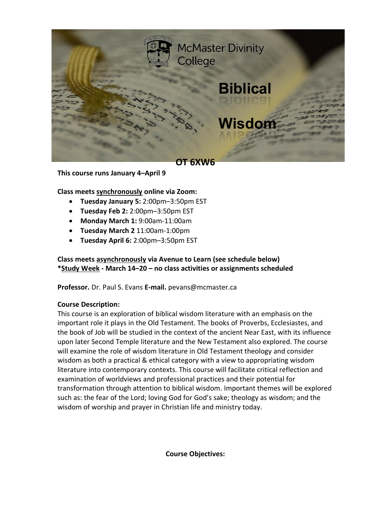

**This course runs January 4–April 9**

## **Class meets synchronously online via Zoom:**

- **Tuesday January 5:** 2:00pm–3:50pm EST
- **Tuesday Feb 2:** 2:00pm–3:50pm EST
- **Monday March 1:** 9:00am-11:00am
- **Tuesday March 2** 11:00am-1:00pm
- **Tuesday April 6:** 2:00pm–3:50pm EST

## **Class meets asynchronously via Avenue to Learn (see schedule below) \*Study Week - March 14–20 – no class activities or assignments scheduled**

**Professor.** Dr. Paul S. Evans **E-mail.** pevans@mcmaster.ca

#### **Course Description:**

This course is an exploration of biblical wisdom literature with an emphasis on the important role it plays in the Old Testament. The books of Proverbs, Ecclesiastes, and the book of Job will be studied in the context of the ancient Near East, with its influence upon later Second Temple literature and the New Testament also explored. The course will examine the role of wisdom literature in Old Testament theology and consider wisdom as both a practical & ethical category with a view to appropriating wisdom literature into contemporary contexts. This course will facilitate critical reflection and examination of worldviews and professional practices and their potential for transformation through attention to biblical wisdom. Important themes will be explored such as: the fear of the Lord; loving God for God's sake; theology as wisdom; and the wisdom of worship and prayer in Christian life and ministry today.

**Course Objectives:**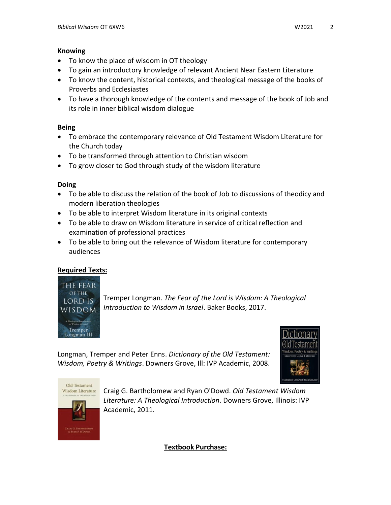#### **Knowing**

- To know the place of wisdom in OT theology
- To gain an introductory knowledge of relevant Ancient Near Eastern Literature
- To know the content, historical contexts, and theological message of the books of Proverbs and Ecclesiastes
- To have a thorough knowledge of the contents and message of the book of Job and its role in inner biblical wisdom dialogue

## **Being**

- To embrace the contemporary relevance of Old Testament Wisdom Literature for the Church today
- To be transformed through attention to Christian wisdom
- To grow closer to God through study of the wisdom literature

## **Doing**

- To be able to discuss the relation of the book of Job to discussions of theodicy and modern liberation theologies
- To be able to interpret Wisdom literature in its original contexts
- To be able to draw on Wisdom literature in service of critical reflection and examination of professional practices
- To be able to bring out the relevance of Wisdom literature for contemporary audiences

# **Required Texts:**



Tremper Longman. *The Fear of the Lord is Wisdom: A Theological Introduction to Wisdom in Israel*. Baker Books, 2017.

Longman, Tremper and Peter Enns. *Dictionary of the Old Testament: Wisdom, Poetry & Writings*. Downers Grove, Ill: IVP Academic, 2008.





Craig G. Bartholomew and Ryan O'Dowd. *Old Testament Wisdom Literature: A Theological Introduction*. Downers Grove, Illinois: IVP Academic, 2011.

**Textbook Purchase:**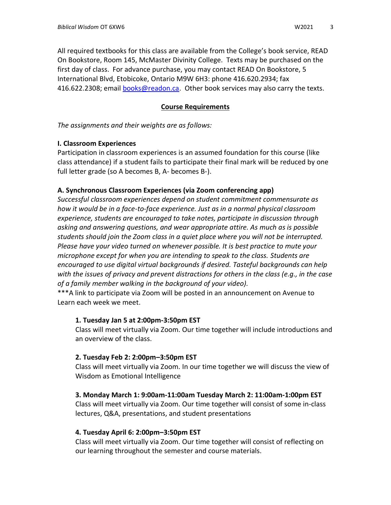All required textbooks for this class are available from the College's book service, READ On Bookstore, Room 145, McMaster Divinity College. Texts may be purchased on the first day of class. For advance purchase, you may contact READ On Bookstore, 5 International Blvd, Etobicoke, Ontario M9W 6H3: phone 416.620.2934; fax 416.622.2308; email [books@readon.ca.](mailto:books@readon.ca) Other book services may also carry the texts.

## **Course Requirements**

*The assignments and their weights are as follows:*

## **I. Classroom Experiences**

Participation in classroom experiences is an assumed foundation for this course (like class attendance) if a student fails to participate their final mark will be reduced by one full letter grade (so A becomes B, A- becomes B-).

## **A. Synchronous Classroom Experiences (via Zoom conferencing app)**

*Successful classroom experiences depend on student commitment commensurate as how it would be in a face-to-face experience. Just as in a normal physical classroom experience, students are encouraged to take notes, participate in discussion through asking and answering questions, and wear appropriate attire. As much as is possible students should join the Zoom class in a quiet place where you will not be interrupted. Please have your video turned on whenever possible. It is best practice to mute your microphone except for when you are intending to speak to the class. Students are encouraged to use digital virtual backgrounds if desired. Tasteful backgrounds can help with the issues of privacy and prevent distractions for others in the class (e.g., in the case of a family member walking in the background of your video).*

\*\*\*A link to participate via Zoom will be posted in an announcement on Avenue to Learn each week we meet.

#### **1. Tuesday Jan 5 at 2:00pm-3:50pm EST**

Class will meet virtually via Zoom. Our time together will include introductions and an overview of the class.

## **2. Tuesday Feb 2: 2:00pm–3:50pm EST**

Class will meet virtually via Zoom. In our time together we will discuss the view of Wisdom as Emotional Intelligence

#### **3. Monday March 1: 9:00am-11:00am Tuesday March 2: 11:00am-1:00pm EST**

Class will meet virtually via Zoom. Our time together will consist of some in-class lectures, Q&A, presentations, and student presentations

#### **4. Tuesday April 6: 2:00pm–3:50pm EST**

Class will meet virtually via Zoom. Our time together will consist of reflecting on our learning throughout the semester and course materials.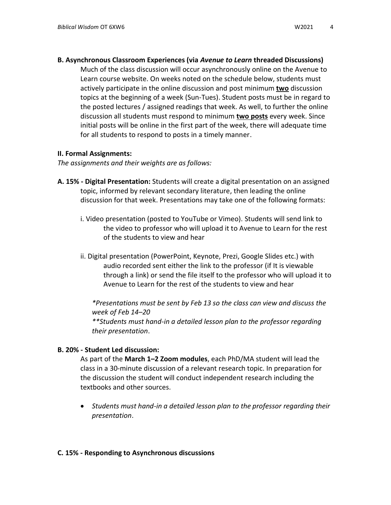**B. Asynchronous Classroom Experiences (via** *Avenue to Learn* **threaded Discussions)** 

Much of the class discussion will occur asynchronously online on the Avenue to Learn course website. On weeks noted on the schedule below, students must actively participate in the online discussion and post minimum **two** discussion topics at the beginning of a week (Sun-Tues). Student posts must be in regard to the posted lectures / assigned readings that week. As well, to further the online discussion all students must respond to minimum **two posts** every week. Since initial posts will be online in the first part of the week, there will adequate time for all students to respond to posts in a timely manner.

#### **II. Formal Assignments:**

*The assignments and their weights are as follows:*

- **A. 15% - Digital Presentation:** Students will create a digital presentation on an assigned topic, informed by relevant secondary literature, then leading the online discussion for that week. Presentations may take one of the following formats:
	- i. Video presentation (posted to YouTube or Vimeo). Students will send link to the video to professor who will upload it to Avenue to Learn for the rest of the students to view and hear
	- ii. Digital presentation (PowerPoint, Keynote, Prezi, Google Slides etc.) with audio recorded sent either the link to the professor (if It is viewable through a link) or send the file itself to the professor who will upload it to Avenue to Learn for the rest of the students to view and hear

*\*Presentations must be sent by Feb 13 so the class can view and discuss the week of Feb 14–20*

*\*\*Students must hand-in a detailed lesson plan to the professor regarding their presentation*.

#### **B. 20% - Student Led discussion:**

As part of the **March 1–2 Zoom modules**, each PhD/MA student will lead the class in a 30-minute discussion of a relevant research topic. In preparation for the discussion the student will conduct independent research including the textbooks and other sources.

• *Students must hand-in a detailed lesson plan to the professor regarding their presentation*.

#### **C. 15% - Responding to Asynchronous discussions**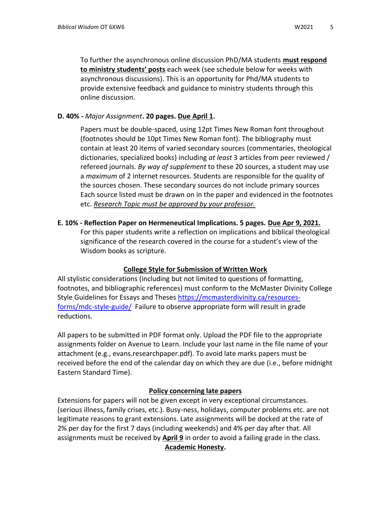To further the asynchronous online discussion PhD/MA students **must respond to ministry students' posts** each week (see schedule below for weeks with asynchronous discussions). This is an opportunity for Phd/MA students to provide extensive feedback and guidance to ministry students through this online discussion.

## **D. 40% -** *Major Assignment***. 20 pages. Due April 1.**

Papers must be double-spaced, using 12pt Times New Roman font throughout (footnotes should be 10pt Times New Roman font). The bibliography must contain at least 20 items of varied secondary sources (commentaries, theological dictionaries, specialized books) including *at least* 3 articles from peer reviewed / refereed journals. *By way of supplement* to these 20 sources, a student may use a *maximum* of 2 internet resources. Students are responsible for the quality of the sources chosen. These secondary sources do not include primary sources Each source listed must be drawn on in the paper and evidenced in the footnotes etc. *Research Topic must be approved by your professor.*

**E. 10% - Reflection Paper on Hermeneutical Implications. 5 pages. Due Apr 9, 2021.**

For this paper students write a reflection on implications and biblical theological significance of the research covered in the course for a student's view of the Wisdom books as scripture.

## **College Style for Submission of Written Work**

All stylistic considerations (including but not limited to questions of formatting, footnotes, and bibliographic references) must conform to the McMaster Divinity College Style Guidelines for Essays and Theses [https://mcmasterdivinity.ca/resources](https://mcmasterdivinity.ca/resources-forms/mdc-style-guide/)[forms/mdc-style-guide/](https://mcmasterdivinity.ca/resources-forms/mdc-style-guide/) Failure to observe appropriate form will result in grade reductions.

All papers to be submitted in PDF format only. Upload the PDF file to the appropriate assignments folder on Avenue to Learn. Include your last name in the file name of your attachment (e.g., evans.researchpaper.pdf). To avoid late marks papers must be received before the end of the calendar day on which they are due (i.e., before midnight Eastern Standard Time).

## **Policy concerning late papers**

Extensions for papers will not be given except in very exceptional circumstances. (serious illness, family crises, etc.). Busy-ness, holidays, computer problems etc. are not legitimate reasons to grant extensions. Late assignments will be docked at the rate of 2% per day for the first 7 days (including weekends) and 4% per day after that. All assignments must be received by **April 9** in order to avoid a failing grade in the class.

#### **Academic Honesty.**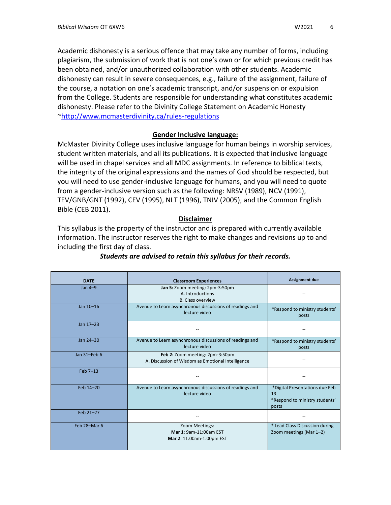Academic dishonesty is a serious offence that may take any number of forms, including plagiarism, the submission of work that is not one's own or for which previous credit has been obtained, and/or unauthorized collaboration with other students. Academic dishonesty can result in severe consequences, e.g., failure of the assignment, failure of the course, a notation on one's academic transcript, and/or suspension or expulsion from the College. Students are responsible for understanding what constitutes academic dishonesty. Please refer to the Divinity College Statement on Academic Honesty [~http://www.mcmasterdivinity.ca/rules-regulations](http://www.mcmasterdivinity.ca/rules-regulations)

## **Gender Inclusive language:**

McMaster Divinity College uses inclusive language for human beings in worship services, student written materials, and all its publications. It is expected that inclusive language will be used in chapel services and all MDC assignments. In reference to biblical texts, the integrity of the original expressions and the names of God should be respected, but you will need to use gender-inclusive language for humans, and you will need to quote from a gender-inclusive version such as the following: NRSV (1989), NCV (1991), TEV/GNB/GNT (1992), CEV (1995), NLT (1996), TNIV (2005), and the Common English Bible (CEB 2011).

#### **Disclaimer**

This syllabus is the property of the instructor and is prepared with currently available information. The instructor reserves the right to make changes and revisions up to and including the first day of class.

| <b>DATE</b>  | <b>Classroom Experiences</b>                                                         | <b>Assignment due</b>                                                           |
|--------------|--------------------------------------------------------------------------------------|---------------------------------------------------------------------------------|
| $Jan 4-9$    | Jan 5: Zoom meeting: 2pm-3:50pm<br>A. Introductions<br><b>B. Class overview</b>      |                                                                                 |
| Jan 10-16    | Avenue to Learn asynchronous discussions of readings and<br>lecture video            | *Respond to ministry students'<br>posts                                         |
| Jan 17-23    |                                                                                      |                                                                                 |
| Jan 24-30    | Avenue to Learn asynchronous discussions of readings and<br>lecture video            | *Respond to ministry students'<br>posts                                         |
| Jan 31-Feb 6 | Feb 2: Zoom meeting: 2pm-3:50pm<br>A. Discussion of Wisdom as Emotional Intelligence |                                                                                 |
| Feb 7-13     |                                                                                      |                                                                                 |
| Feb 14-20    | Avenue to Learn asynchronous discussions of readings and<br>lecture video            | *Digital Presentations due Feb<br>13<br>*Respond to ministry students'<br>posts |
| Feb 21-27    |                                                                                      |                                                                                 |
| Feb 28-Mar 6 | Zoom Meetings:<br>Mar 1: 9am-11:00am EST<br>Mar 2: 11:00am-1:00pm EST                | * Lead Class Discussion during<br>Zoom meetings (Mar 1-2)                       |

## *Students are advised to retain this syllabus for their records.*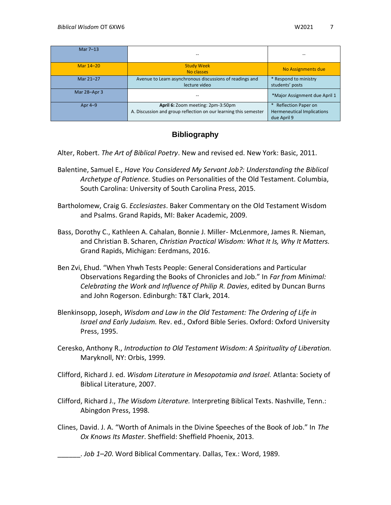| Mar 7-13     |                                                                                                       | --                                                                             |
|--------------|-------------------------------------------------------------------------------------------------------|--------------------------------------------------------------------------------|
| Mar 14-20    | <b>Study Week</b><br>No classes                                                                       | No Assignments due                                                             |
| Mar 21-27    | Avenue to Learn asynchronous discussions of readings and<br>lecture video                             | * Respond to ministry<br>students' posts                                       |
| Mar 28-Apr 3 |                                                                                                       | *Major Assignment due April 1                                                  |
| Apr $4-9$    | April 6: Zoom meeting: 2pm-3:50pm<br>A. Discussion and group reflection on our learning this semester | <b>Reflection Paper on</b><br><b>Hermeneutical Implications</b><br>due April 9 |

## **Bibliography**

Alter, Robert. *The Art of Biblical Poetry*. New and revised ed. New York: Basic, 2011.

- Balentine, Samuel E., *Have You Considered My Servant Job?: Understanding the Biblical Archetype of Patience.* Studies on Personalities of the Old Testament. Columbia, South Carolina: University of South Carolina Press, 2015.
- Bartholomew, Craig G. *Ecclesiastes*. Baker Commentary on the Old Testament Wisdom and Psalms. Grand Rapids, MI: Baker Academic, 2009.
- Bass, Dorothy C., Kathleen A. Cahalan, Bonnie J. Miller- McLenmore, James R. Nieman, and Christian B. Scharen, *Christian Practical Wisdom: What It Is, Why It Matters.* Grand Rapids, Michigan: Eerdmans, 2016.
- Ben Zvi, Ehud. "When Yhwh Tests People: General Considerations and Particular Observations Regarding the Books of Chronicles and Job." In *Far from Minimal: Celebrating the Work and Influence of Philip R. Davies*, edited by Duncan Burns and John Rogerson. Edinburgh: T&T Clark, 2014.
- Blenkinsopp, Joseph, *Wisdom and Law in the Old Testament: The Ordering of Life in Israel and Early Judaism.* Rev. ed., Oxford Bible Series. Oxford: Oxford University Press, 1995.
- Ceresko, Anthony R., *Introduction to Old Testament Wisdom: A Spirituality of Liberation.* Maryknoll, NY: Orbis, 1999.
- Clifford, Richard J. ed. *Wisdom Literature in Mesopotamia and Israel.* Atlanta: Society of Biblical Literature, 2007.
- Clifford, Richard J., *The Wisdom Literature.* Interpreting Biblical Texts. Nashville, Tenn.: Abingdon Press, 1998.
- Clines, David. J. A. "Worth of Animals in the Divine Speeches of the Book of Job." In *The Ox Knows Its Master*. Sheffield: Sheffield Phoenix, 2013.

\_\_\_\_\_\_. *Job 1–20*. Word Biblical Commentary. Dallas, Tex.: Word, 1989.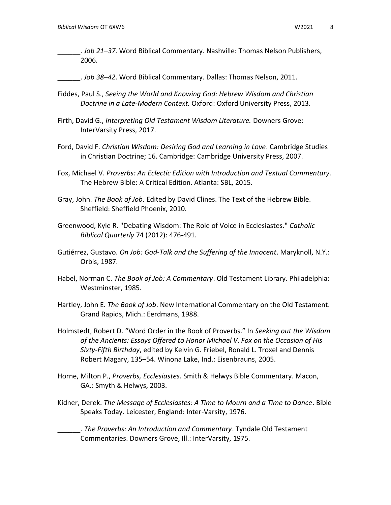\_\_\_\_\_\_. *Job 21–37*. Word Biblical Commentary. Nashville: Thomas Nelson Publishers, 2006.

\_\_\_\_\_\_. *Job 38–42*. Word Biblical Commentary. Dallas: Thomas Nelson, 2011.

- Fiddes, Paul S., *Seeing the World and Knowing God: Hebrew Wisdom and Christian Doctrine in a Late-Modern Context.* Oxford: Oxford University Press, 2013.
- Firth, David G., *Interpreting Old Testament Wisdom Literature.* Downers Grove: InterVarsity Press, 2017.
- Ford, David F. *Christian Wisdom: Desiring God and Learning in Love*. Cambridge Studies in Christian Doctrine; 16. Cambridge: Cambridge University Press, 2007.
- Fox, Michael V. *Proverbs: An Eclectic Edition with Introduction and Textual Commentary*. The Hebrew Bible: A Critical Edition. Atlanta: SBL, 2015.
- Gray, John. *The Book of Job*. Edited by David Clines. The Text of the Hebrew Bible. Sheffield: Sheffield Phoenix, 2010.
- Greenwood, Kyle R. "Debating Wisdom: The Role of Voice in Ecclesiastes." *Catholic Biblical Quarterly* 74 (2012): 476-491.
- Gutiérrez, Gustavo. *On Job: God-Talk and the Suffering of the Innocent*. Maryknoll, N.Y.: Orbis, 1987.
- Habel, Norman C. *The Book of Job: A Commentary*. Old Testament Library. Philadelphia: Westminster, 1985.
- Hartley, John E. *The Book of Job*. New International Commentary on the Old Testament. Grand Rapids, Mich.: Eerdmans, 1988.
- Holmstedt, Robert D. "Word Order in the Book of Proverbs." In *Seeking out the Wisdom of the Ancients: Essays Offered to Honor Michael V. Fox on the Occasion of His Sixty-Fifth Birthday*, edited by Kelvin G. Friebel, Ronald L. Troxel and Dennis Robert Magary, 135–54. Winona Lake, Ind.: Eisenbrauns, 2005.
- Horne, Milton P., *Proverbs, Ecclesiastes.* Smith & Helwys Bible Commentary. Macon, GA.: Smyth & Helwys, 2003.
- Kidner, Derek. *The Message of Ecclesiastes: A Time to Mourn and a Time to Dance*. Bible Speaks Today. Leicester, England: Inter-Varsity, 1976.

\_\_\_\_\_\_. *The Proverbs: An Introduction and Commentary*. Tyndale Old Testament Commentaries. Downers Grove, Ill.: InterVarsity, 1975.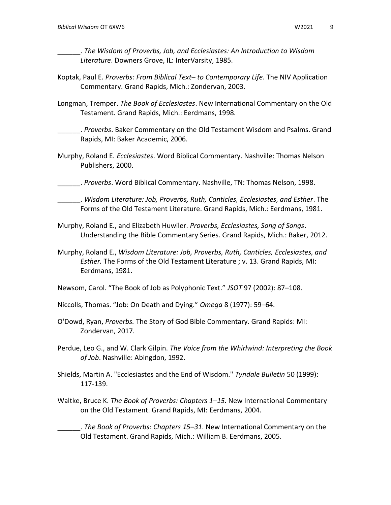\_\_\_\_\_\_. *The Wisdom of Proverbs, Job, and Ecclesiastes: An Introduction to Wisdom Literature*. Downers Grove, IL: InterVarsity, 1985.

- Koptak, Paul E. *Proverbs: From Biblical Text– to Contemporary Life*. The NIV Application Commentary. Grand Rapids, Mich.: Zondervan, 2003.
- Longman, Tremper. *The Book of Ecclesiastes*. New International Commentary on the Old Testament. Grand Rapids, Mich.: Eerdmans, 1998.
- \_\_\_\_\_\_. *Proverbs*. Baker Commentary on the Old Testament Wisdom and Psalms. Grand Rapids, MI: Baker Academic, 2006.
- Murphy, Roland E. *Ecclesiastes*. Word Biblical Commentary. Nashville: Thomas Nelson Publishers, 2000.
- \_\_\_\_\_\_. *Proverbs*. Word Biblical Commentary. Nashville, TN: Thomas Nelson, 1998.
- \_\_\_\_\_\_. *Wisdom Literature: Job, Proverbs, Ruth, Canticles, Ecclesiastes, and Esther*. The Forms of the Old Testament Literature. Grand Rapids, Mich.: Eerdmans, 1981.
- Murphy, Roland E., and Elizabeth Huwiler. *Proverbs, Ecclesiastes, Song of Songs*. Understanding the Bible Commentary Series. Grand Rapids, Mich.: Baker, 2012.
- Murphy, Roland E., *Wisdom Literature: Job, Proverbs, Ruth, Canticles, Ecclesiastes, and Esther.* The Forms of the Old Testament Literature ; v. 13. Grand Rapids, MI: Eerdmans, 1981.
- Newsom, Carol. "The Book of Job as Polyphonic Text." *JSOT* 97 (2002): 87–108.
- Niccolls, Thomas. "Job: On Death and Dying." *Omega* 8 (1977): 59–64.
- O'Dowd, Ryan, *Proverbs.* The Story of God Bible Commentary. Grand Rapids: MI: Zondervan, 2017.
- Perdue, Leo G., and W. Clark Gilpin. *The Voice from the Whirlwind: Interpreting the Book of Job*. Nashville: Abingdon, 1992.
- Shields, Martin A. "Ecclesiastes and the End of Wisdom." *Tyndale Bulletin* 50 (1999): 117-139.
- Waltke, Bruce K. *The Book of Proverbs: Chapters 1–15*. New International Commentary on the Old Testament. Grand Rapids, MI: Eerdmans, 2004.
- \_\_\_\_\_\_. *The Book of Proverbs: Chapters 15–31*. New International Commentary on the Old Testament. Grand Rapids, Mich.: William B. Eerdmans, 2005.